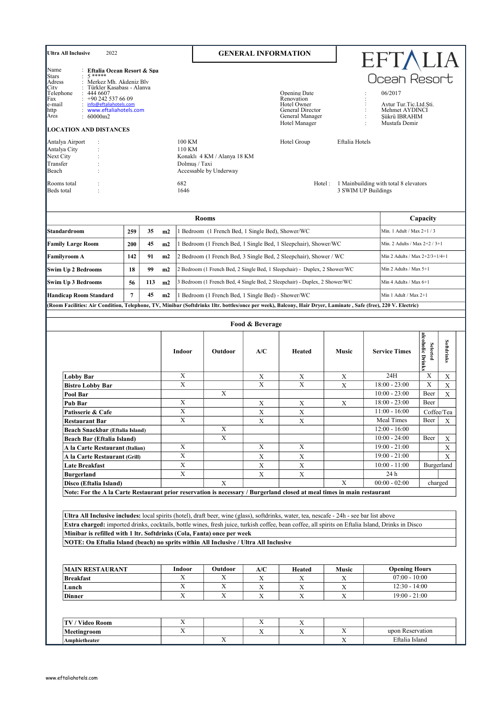| <b>Ultra All Inclusive</b><br>2022                                                                                                                                                                                                                                                                                                                                                                                                                               |                                                                                                                                                                   |     |                         |                                                                        | <b>GENERAL INFORMATION</b>                       |                                                                                                   |                                          |                                                                                                                  |                                     |                                          |
|------------------------------------------------------------------------------------------------------------------------------------------------------------------------------------------------------------------------------------------------------------------------------------------------------------------------------------------------------------------------------------------------------------------------------------------------------------------|-------------------------------------------------------------------------------------------------------------------------------------------------------------------|-----|-------------------------|------------------------------------------------------------------------|--------------------------------------------------|---------------------------------------------------------------------------------------------------|------------------------------------------|------------------------------------------------------------------------------------------------------------------|-------------------------------------|------------------------------------------|
| Name<br><b>Stars</b><br>$: 5***$<br>Adress<br>City<br>Telephone<br>444 6607<br>Fax<br>e-mail<br>http<br>Area<br>: 60000m2<br><b>LOCATION AND DISTANCES</b>                                                                                                                                                                                                                                                                                                       | : Eftalia Ocean Resort & Spa<br>: Merkez Mh. Akdeniz Blv<br>Türkler Kasabası - Alanya<br>+90 242 537 66 09<br>: info@eftaliahotels.com<br>: www.eftaliahotels.com |     |                         |                                                                        |                                                  | Opening Date<br>Renovation<br>Hotel Owner<br>General Director<br>General Manager<br>Hotel Manager |                                          | EFTALIA<br>Ocean Resort<br>06/2017<br>Aytur Tur.Tic.Ltd.Sti.<br>Mehmet AYDINCI<br>Şükrü IBRAHIM<br>Mustafa Demir |                                     |                                          |
| Antalya Airport<br>$\ddot{\phantom{1}}$ :<br>Antalya City<br>$\ddot{\cdot}$<br>Next City<br>$\ddot{\phantom{a}}$<br>Transfer<br>Beach<br>Rooms total                                                                                                                                                                                                                                                                                                             |                                                                                                                                                                   |     | 100 KM<br>110 KM<br>682 | Konaklı 4 KM / Alanya 18 KM<br>Dolmus / Taxi<br>Accessable by Underway |                                                  | Hotel Group                                                                                       | Eftalia Hotels                           | Hotel: 1 Mainbuilding with total 8 elevators                                                                     |                                     |                                          |
| Beds total                                                                                                                                                                                                                                                                                                                                                                                                                                                       |                                                                                                                                                                   |     | 1646                    |                                                                        |                                                  |                                                                                                   |                                          | 3 SWIM UP Buildings                                                                                              |                                     |                                          |
|                                                                                                                                                                                                                                                                                                                                                                                                                                                                  |                                                                                                                                                                   |     |                         | <b>Rooms</b>                                                           |                                                  |                                                                                                   |                                          |                                                                                                                  | Capacity                            |                                          |
| Standardroom                                                                                                                                                                                                                                                                                                                                                                                                                                                     | 259                                                                                                                                                               | 35  | m2                      |                                                                        | Bedroom (1 French Bed, 1 Single Bed), Shower/WC  |                                                                                                   |                                          | Min. 1 Adult / Max 2+1 / 3                                                                                       |                                     |                                          |
| <b>Family Large Room</b>                                                                                                                                                                                                                                                                                                                                                                                                                                         | 200                                                                                                                                                               | 45  | m2                      |                                                                        |                                                  | Bedroom (1 French Bed, 1 Single Bed, 1 Sleepchair), Shower/WC                                     |                                          | Min. 2 Adults / Max 2+2 / 3+1                                                                                    |                                     |                                          |
| <b>Familyroom A</b>                                                                                                                                                                                                                                                                                                                                                                                                                                              | 142                                                                                                                                                               | 91  | m2                      |                                                                        |                                                  | 2 Bedroom (1 French Bed, 3 Single Bed, 2 Sleepchair), Shower / WC                                 |                                          | Min 2 Adults / Max 2+2/3+1/4+1                                                                                   |                                     |                                          |
| <b>Swim Up 2 Bedrooms</b>                                                                                                                                                                                                                                                                                                                                                                                                                                        | 18                                                                                                                                                                | 99  | m2                      |                                                                        |                                                  | 2 Bedroom (1 French Bed, 2 Single Bed, 1 Sleepchair) - Duplex, 2 Shower/WC                        |                                          | Min 2 Adults / Max 5+1                                                                                           |                                     |                                          |
| <b>Swim Up 3 Bedrooms</b>                                                                                                                                                                                                                                                                                                                                                                                                                                        | 56                                                                                                                                                                | 113 | m2                      |                                                                        |                                                  | 3 Bedroom (1 French Bed, 4 Single Bed, 2 Sleepchair) - Duplex, 2 Shower/WC                        |                                          | Min 4 Adults / Max 6+1                                                                                           |                                     |                                          |
|                                                                                                                                                                                                                                                                                                                                                                                                                                                                  |                                                                                                                                                                   |     |                         |                                                                        |                                                  |                                                                                                   |                                          |                                                                                                                  |                                     |                                          |
| <b>Handicap Room Standard</b><br>(Room Facilities: Air Condition, Telephone, TV, Minibar (Softdrinks 1ltr. bottles/once per week), Balcony, Hair Dryer, Laminate, Safe (free), 220 V. Electric)                                                                                                                                                                                                                                                                  | 7                                                                                                                                                                 | 45  | m2                      |                                                                        | Bedroom (1 French Bed, 1 Single Bed) - Shower/WC |                                                                                                   |                                          | Min 1 Adult / Max 2+1                                                                                            |                                     |                                          |
|                                                                                                                                                                                                                                                                                                                                                                                                                                                                  |                                                                                                                                                                   |     |                         |                                                                        |                                                  |                                                                                                   |                                          |                                                                                                                  |                                     |                                          |
|                                                                                                                                                                                                                                                                                                                                                                                                                                                                  |                                                                                                                                                                   |     |                         |                                                                        | Food & Beverage                                  |                                                                                                   |                                          |                                                                                                                  |                                     |                                          |
|                                                                                                                                                                                                                                                                                                                                                                                                                                                                  |                                                                                                                                                                   |     | Indoor                  | Outdoor                                                                | A/C                                              | Heated                                                                                            | Music                                    | <b>Service Times</b>                                                                                             | alcoholic Drinks<br><b>Selected</b> | Softdrinks                               |
| <b>Lobby Bar</b>                                                                                                                                                                                                                                                                                                                                                                                                                                                 |                                                                                                                                                                   |     | X                       |                                                                        | X                                                | X                                                                                                 | X                                        | 24H                                                                                                              | X                                   | X                                        |
| <b>Bistro Lobby Bar</b>                                                                                                                                                                                                                                                                                                                                                                                                                                          |                                                                                                                                                                   |     | X                       | $\boldsymbol{\mathrm{X}}$                                              | $\mathbf X$                                      | X                                                                                                 | $\mathbf X$                              | $18:00 - 23:00$<br>$10:00 - 23:00$                                                                               | X<br>Beer                           | X<br>$\mathbf X$                         |
| Pool Bar<br>Pub Bar                                                                                                                                                                                                                                                                                                                                                                                                                                              |                                                                                                                                                                   |     | X                       |                                                                        | X                                                | X                                                                                                 | X                                        | $18:00 - 23:00$                                                                                                  | Beer                                |                                          |
| Patisserie & Cafe                                                                                                                                                                                                                                                                                                                                                                                                                                                |                                                                                                                                                                   |     | X                       |                                                                        | X                                                | X                                                                                                 |                                          | $11:00 - 16:00$                                                                                                  | Coffee/Tea                          |                                          |
| <b>Restaurant Bar</b>                                                                                                                                                                                                                                                                                                                                                                                                                                            |                                                                                                                                                                   |     | X                       |                                                                        | Χ                                                | X                                                                                                 |                                          | Meal Times                                                                                                       | Beer                                | Χ                                        |
| Beach Snackbar (Eftalia Island)                                                                                                                                                                                                                                                                                                                                                                                                                                  |                                                                                                                                                                   |     |                         | X                                                                      |                                                  |                                                                                                   |                                          | $12:00 - 16:00$                                                                                                  |                                     |                                          |
| Beach Bar (Eftalia Island)                                                                                                                                                                                                                                                                                                                                                                                                                                       |                                                                                                                                                                   |     | X                       | $\overline{\mathbf{X}}$                                                | X                                                | $\mathbf X$                                                                                       |                                          | $10:00 - 24:00$<br>$19:00 - 21:00$                                                                               | Beer                                | $\boldsymbol{\mathrm{X}}$<br>$\mathbf X$ |
| A la Carte Restaurant (Italian)<br>A la Carte Restaurant (Grill)                                                                                                                                                                                                                                                                                                                                                                                                 |                                                                                                                                                                   |     | X                       |                                                                        | $\mathbf X$                                      | $\mathbf X$                                                                                       |                                          | $19:00 - 21:00$                                                                                                  |                                     | X                                        |
| Late Breakfast                                                                                                                                                                                                                                                                                                                                                                                                                                                   |                                                                                                                                                                   |     | $\mathbf X$             |                                                                        | $\mathbf X$                                      | $\mathbf X$                                                                                       |                                          | $10:00 - 11:00$                                                                                                  | Burgerland                          |                                          |
| <b>Burgerland</b>                                                                                                                                                                                                                                                                                                                                                                                                                                                |                                                                                                                                                                   |     |                         |                                                                        | X                                                | $\mathbf X$                                                                                       |                                          | 24 h                                                                                                             |                                     |                                          |
| Disco (Eftalia Island)<br>Note: For the A la Carte Restaurant prior reservation is necessary / Burgerland closed at meal times in main restaurant                                                                                                                                                                                                                                                                                                                |                                                                                                                                                                   |     |                         | $\mathbf X$                                                            |                                                  |                                                                                                   | X                                        | $00:00 - 02:00$                                                                                                  | charged                             |                                          |
|                                                                                                                                                                                                                                                                                                                                                                                                                                                                  |                                                                                                                                                                   |     |                         |                                                                        |                                                  |                                                                                                   |                                          |                                                                                                                  |                                     |                                          |
| Ultra All Inclusive includes: local spirits (hotel), draft beer, wine (glass), softdrinks, water, tea, nescafe - 24h - see bar list above<br>Extra charged: imported drinks, cocktails, bottle wines, fresh juice, turkish coffee, bean coffee, all spirits on Eftalia Island, Drinks in Disco<br>Minibar is refilled with 1 ltr. Softdrinks (Cola, Fanta) once per week<br>NOTE: On Eftalia Island (beach) no sprits within All Inclusive / Ultra All Inclusive |                                                                                                                                                                   |     |                         |                                                                        |                                                  |                                                                                                   |                                          |                                                                                                                  |                                     |                                          |
|                                                                                                                                                                                                                                                                                                                                                                                                                                                                  |                                                                                                                                                                   |     |                         |                                                                        |                                                  |                                                                                                   |                                          |                                                                                                                  |                                     |                                          |
| <b>MAIN RESTAURANT</b>                                                                                                                                                                                                                                                                                                                                                                                                                                           |                                                                                                                                                                   |     | Indoor                  | Outdoor                                                                | A/C                                              | Heated                                                                                            | Music                                    | <b>Opening Hours</b>                                                                                             |                                     |                                          |
| <b>Breakfast</b><br>Lunch                                                                                                                                                                                                                                                                                                                                                                                                                                        |                                                                                                                                                                   |     | X<br>X                  | X<br>X                                                                 | $\mathbf X$<br>$\mathbf X$                       | $\mathbf X$<br>$\mathbf X$                                                                        | $\mathbf X$<br>$\boldsymbol{\mathrm{X}}$ | $07:00 - 10:00$<br>$12:30 - 14:00$                                                                               |                                     |                                          |
| Dinner                                                                                                                                                                                                                                                                                                                                                                                                                                                           |                                                                                                                                                                   |     | X                       | X                                                                      | $\mathbf X$                                      | $\mathbf{X}$                                                                                      | $\mathbf X$                              | $19:00 - 21:00$                                                                                                  |                                     |                                          |
|                                                                                                                                                                                                                                                                                                                                                                                                                                                                  |                                                                                                                                                                   |     |                         |                                                                        |                                                  |                                                                                                   |                                          |                                                                                                                  |                                     |                                          |
|                                                                                                                                                                                                                                                                                                                                                                                                                                                                  |                                                                                                                                                                   |     |                         |                                                                        |                                                  |                                                                                                   |                                          |                                                                                                                  |                                     |                                          |
| TV / Video Room<br>Meetingroom                                                                                                                                                                                                                                                                                                                                                                                                                                   |                                                                                                                                                                   |     | X<br>X                  |                                                                        | X<br>X                                           | $\mathbf X$<br>$\mathbf X$                                                                        | X                                        | upon Reservation                                                                                                 |                                     |                                          |